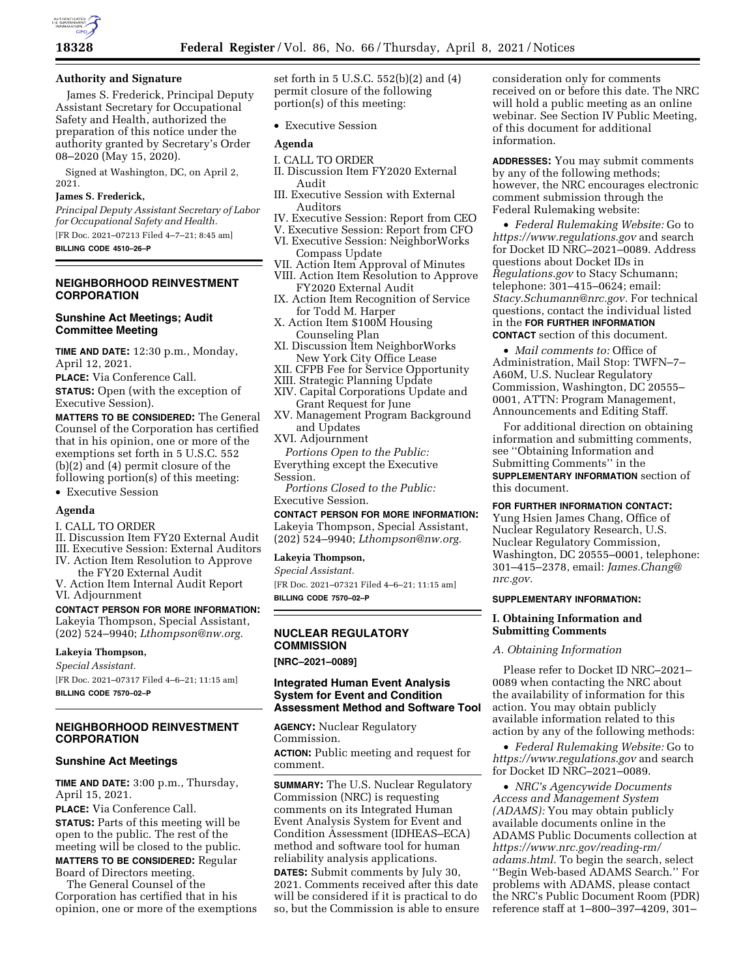

### **Authority and Signature**

James S. Frederick, Principal Deputy Assistant Secretary for Occupational Safety and Health, authorized the preparation of this notice under the authority granted by Secretary's Order 08–2020 (May 15, 2020).

Signed at Washington, DC, on April 2, 2021.

#### **James S. Frederick,**

*Principal Deputy Assistant Secretary of Labor for Occupational Safety and Health.*  [FR Doc. 2021–07213 Filed 4–7–21; 8:45 am]

**BILLING CODE 4510–26–P** 

# **NEIGHBORHOOD REINVESTMENT CORPORATION**

# **Sunshine Act Meetings; Audit Committee Meeting**

**TIME AND DATE:** 12:30 p.m., Monday, April 12, 2021.

**PLACE:** Via Conference Call.

**STATUS:** Open (with the exception of Executive Session).

**MATTERS TO BE CONSIDERED:** The General Counsel of the Corporation has certified that in his opinion, one or more of the exemptions set forth in 5 U.S.C. 552 (b)(2) and (4) permit closure of the following portion(s) of this meeting:

• Executive Session

### **Agenda**

- I. CALL TO ORDER
- II. Discussion Item FY20 External Audit
- III. Executive Session: External Auditors
- IV. Action Item Resolution to Approve
- the FY20 External Audit V. Action Item Internal Audit Report
- VI. Adjournment

# **CONTACT PERSON FOR MORE INFORMATION:**  Lakeyia Thompson, Special Assistant, (202) 524–9940; *[Lthompson@nw.org.](mailto:Lthompson@nw.org)*

#### **Lakeyia Thompson,**

*Special Assistant.*  [FR Doc. 2021–07317 Filed 4–6–21; 11:15 am] **BILLING CODE 7570–02–P** 

# **NEIGHBORHOOD REINVESTMENT CORPORATION**

### **Sunshine Act Meetings**

**TIME AND DATE:** 3:00 p.m., Thursday, April 15, 2021.

**PLACE:** Via Conference Call. **STATUS:** Parts of this meeting will be open to the public. The rest of the meeting will be closed to the public. **MATTERS TO BE CONSIDERED:** Regular Board of Directors meeting.

The General Counsel of the Corporation has certified that in his opinion, one or more of the exemptions set forth in 5 U.S.C. 552(b)(2) and (4) permit closure of the following portion(s) of this meeting:

• Executive Session

#### **Agenda**

- I. CALL TO ORDER II. Discussion Item FY2020 External Audit
- III. Executive Session with External Auditors
- IV. Executive Session: Report from CEO
- V. Executive Session: Report from CFO
- VI. Executive Session: NeighborWorks
- Compass Update VII. Action Item Approval of Minutes
- VIII. Action Item Resolution to Approve FY2020 External Audit
- IX. Action Item Recognition of Service for Todd M. Harper
- X. Action Item \$100M Housing Counseling Plan
- XI. Discussion Item NeighborWorks New York City Office Lease
- XII. CFPB Fee for Service Opportunity
- XIII. Strategic Planning Update
- XIV. Capital Corporations Update and Grant Request for June
- XV. Management Program Background and Updates
- XVI. Adjournment

*Portions Open to the Public:*  Everything except the Executive Session.

*Portions Closed to the Public:*  Executive Session.

#### **CONTACT PERSON FOR MORE INFORMATION:**

Lakeyia Thompson, Special Assistant, (202) 524–9940; *[Lthompson@nw.org.](mailto:Lthompson@nw.org)* 

#### **Lakeyia Thompson,**

*Special Assistant.* 

[FR Doc. 2021–07321 Filed 4–6–21; 11:15 am] **BILLING CODE 7570–02–P** 

# **NUCLEAR REGULATORY COMMISSION**

**[NRC–2021–0089]** 

# **Integrated Human Event Analysis System for Event and Condition Assessment Method and Software Tool**

**AGENCY:** Nuclear Regulatory Commission. **ACTION:** Public meeting and request for comment.

**SUMMARY:** The U.S. Nuclear Regulatory Commission (NRC) is requesting comments on its Integrated Human Event Analysis System for Event and Condition Assessment (IDHEAS–ECA) method and software tool for human reliability analysis applications.

**DATES:** Submit comments by July 30, 2021. Comments received after this date will be considered if it is practical to do so, but the Commission is able to ensure consideration only for comments received on or before this date. The NRC will hold a public meeting as an online webinar. See Section IV Public Meeting, of this document for additional information.

**ADDRESSES:** You may submit comments by any of the following methods; however, the NRC encourages electronic comment submission through the Federal Rulemaking website:

• *Federal Rulemaking Website:* Go to *<https://www.regulations.gov>* and search for Docket ID NRC–2021–0089. Address questions about Docket IDs in *Regulations.gov* to Stacy Schumann; telephone: 301–415–0624; email: *[Stacy.Schumann@nrc.gov.](mailto:Stacy.Schumann@nrc.gov)* For technical questions, contact the individual listed in the **FOR FURTHER INFORMATION CONTACT** section of this document.

• *Mail comments to:* Office of Administration, Mail Stop: TWFN–7– A60M, U.S. Nuclear Regulatory Commission, Washington, DC 20555– 0001, ATTN: Program Management, Announcements and Editing Staff.

For additional direction on obtaining information and submitting comments, see ''Obtaining Information and Submitting Comments'' in the **SUPPLEMENTARY INFORMATION** section of this document.

### **FOR FURTHER INFORMATION CONTACT:**

Yung Hsien James Chang, Office of Nuclear Regulatory Research, U.S. Nuclear Regulatory Commission, Washington, DC 20555–0001, telephone: 301–415–2378, email: *[James.Chang@](mailto:James.Chang@nrc.gov) [nrc.gov.](mailto:James.Chang@nrc.gov)* 

### **SUPPLEMENTARY INFORMATION:**

### **I. Obtaining Information and Submitting Comments**

### *A. Obtaining Information*

Please refer to Docket ID NRC–2021– 0089 when contacting the NRC about the availability of information for this action. You may obtain publicly available information related to this action by any of the following methods:

• *Federal Rulemaking Website:* Go to *<https://www.regulations.gov>* and search for Docket ID NRC–2021–0089.

• *NRC's Agencywide Documents Access and Management System (ADAMS):* You may obtain publicly available documents online in the ADAMS Public Documents collection at *[https://www.nrc.gov/reading-rm/](https://www.nrc.gov/reading-rm/adams.html)  [adams.html.](https://www.nrc.gov/reading-rm/adams.html)* To begin the search, select ''Begin Web-based ADAMS Search.'' For problems with ADAMS, please contact the NRC's Public Document Room (PDR) reference staff at 1–800–397–4209, 301–